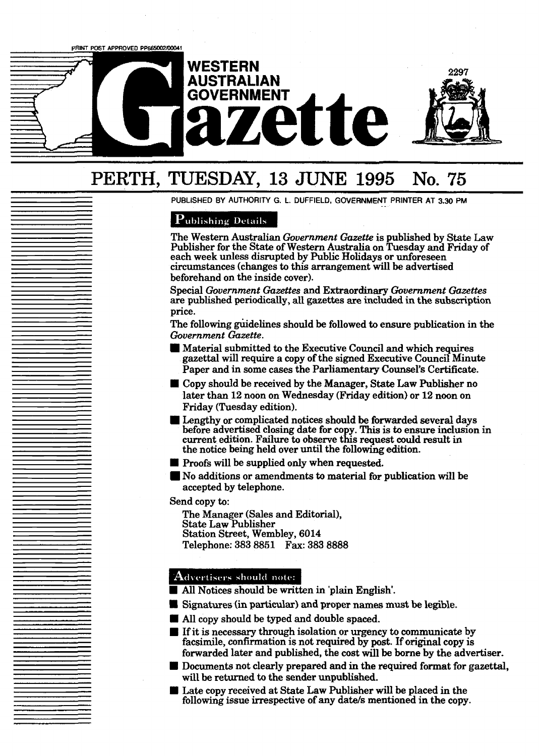PRINT POST APPROVED PP665002/00041

## **WESTERN AUSTRALIAN GOVERNMENT aze**

## **PERTH, TUESDAY, 13 JUNE 1995 No. 75**

PUBLISHED BY AUTHORITY G. L. DUFFIELD, GOVERNMENT PRINTER AT 3.30 PM

### **Publishing Details**

The Western Australian *Government Gazette* is published by State Law Publisher for the State of Western Australia on Tuesday and Friday of each week unless disrupted by Public Holidays or unforeseen circumstances (changes to this arrangement will be advertised beforehand on the inside cover).

2297

Special *Government Gazettes* and Extraordinary *Government Gazettes*  are published periodically, all gazettes are included in the **subscription**  price.

The following guidelines should be followed to ensure publication in the *Government Gazette.* 

- **<sup>M</sup>**Material submitted to the Executive Council and which requires gazettal will require a copy of the signed Executive Council Minute Paper and in some cases the Parliamentary Counsel's Certificate.
- Copy should be received by the Manager, State Law Publisher no later than 12 noon on Wednesday (Friday edition) or 12 noon on Friday (Tuesday edition).
- **<sup>M</sup>**Lengthy or complicated notices should be forwarded several days before advertised closing date for CO y. **This** is to ensure incIusion in current edition. Failure to observe this request could result in the notice being held over until the following edition.
- **Proofs will be supplied only when requested.**
- No additions or amendments to material for publication wit1 be accepted by telephone.

Send copy to:

The Manager (Sales and Editorial), State Law Publisher Station Street, Wembley, 6014 Telephone: **383** 8851 **Fax: 383 8888** 

### Advertisers should note:

- All Notices should be written in 'plain English'.
- **U Signatures (in particular) and proper names must be legible,**
- All copy should be typed and double spaced.
- **<sup>B</sup>**If it is necessary through isolation or urgency to communicate by facsimile, confirmation is not required by post. If original copy is forwarded later and published, the cost will be **borne** by the advertiser.
- **B** Documents not clearly prepared and in the required format for gazettal, will **be** returned to the sender **unpublished. I Documents not clearly prepared and in the required format for g** will be returned to the sender unpublished.<br> **I** Late copy received at State Law Publisher will be placed in the following issue irrespective of any date/
-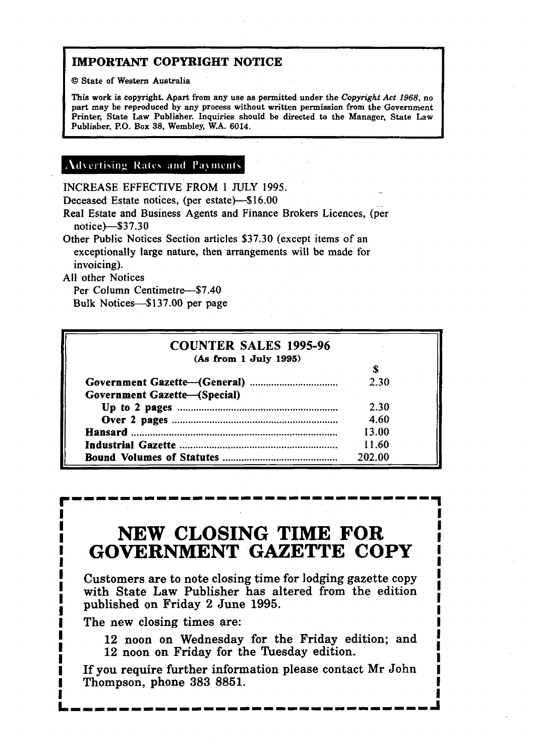### **IMPORTANT COPYRIGHT NOTICE**

O **State of Western Australia** 

**This work is copyright. Apart from any use as permitted under the** *Copyright Act* **1968, no part may be reproduced by any process without written permission from the Government Printer, State Law Publisher. Inquiries should be directed to the Manager, Stale Law**  Publisher, P.O. Box 38, Wembley, W.A. 6014.

#### **Advertising Rates and Payments**

INCREASE EFFECTIVE **FROM** 1 JULY 1995.

Deceased Estate notices, (per estate)-\$16.00

Real Estate and Business Agents and Finance Brokers Licences, (per notice)--\$37.30

Other Public Notices Section articles \$37.30 (except items of an exceptionally large nature, then arrangements will be made for invoicing).

All other Notices

**I** 

Per Column Centimetre-\$7.40 Bulk Notices-\$137.00 per page

| Per Column Centimetre—\$7.40<br>Bulk Notices—\$137.00 per page |        |  |
|----------------------------------------------------------------|--------|--|
| <b>COUNTER SALES 1995-96</b><br>(As from 1 July 1995)          |        |  |
|                                                                | S      |  |
|                                                                | 2.30   |  |
| <b>Government Gazette-(Special)</b>                            |        |  |
|                                                                | 2.30   |  |
|                                                                | 4.60   |  |
|                                                                | 13.00  |  |
|                                                                | 11.60  |  |
|                                                                | 202.00 |  |

### **<sup>I</sup>NEW CLOSING TIME FOR <sup>I</sup> IGOVERNMENT GAZETTE COPY**

**I** Customers are to note closing time for lodging gazette copy **I I** Customers are to note closing time for lodging gazette copy **I** with State Law Publisher has altered from the edition with State Law Publisher has altered from the edition<br> **1** published on Friday 2 June 1995. published on Friday 2 June 1995.

The new closing times are:

12 noon on Wednesday for the Friday edition; and 12 noon on Friday for the Tuesday edition.

If you require further information please contact Mr John **I** Thompson, phone 383 8851.

LIIII<br>Liin an an an an an an an at the month and the angles and the month and an and an and an an angles and an angl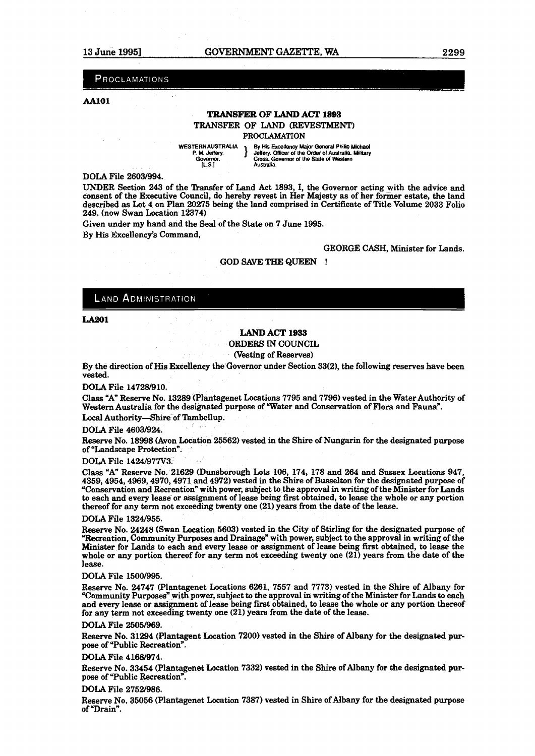**PROCLAMATIONS** 

#### **m01**

#### **T&ANSFER OF** LAND ACT **1893**

TRANSFER OF **LAND** (REVESTMENT)

**PROCLAMATION** 

**WESTERN AUSTRALIA** By His Excellency Major General Philip Michael P. M. Jeffery, **Philip Maps Philip** *Australia, Military* **PERN AUSTRALIA | By His Excellency Major General Philip Michael | Australia** *Media***<br>P. M. Jeffery. | Governor of any Cross. Governor of Australia Military <b>Governor [Ls** 1 **Australia** 

**DOLA** File 26031994.

UNDER Section 243 of the Transfer of Land Act 1893, I, the Governor acting with the advice and consent of the Executive Council, do hereby revest in Her Majesty as of her former estate, the land described **as** Lot 4 on Plan 20275 being the land comprised in Certificate of Title Volume 2033 Folio 249. (now Swan Location 12374)

Given under my hand and the **Seal** of the State on 7 June 1995.

By His Excellency's Command,

GEORGE CASH, Minister for Lands.

#### GOD SAVE THE QUEEN !

#### **LAND ADMINISTRATION**

**LA201** 

#### LAND ACT **1933**

ORDERS IN COUNCIL

Westing of Reserves)

By the direction of **His** Excellency the Governor under Section 33(2), the following reserves have been vested.

**DOLA** File 147281910.

Class "A" Reserve No. 13289 (Plantagenet Locations 7795 and 7796) vested in the Water Authority of Western Australia for the designated purpose of Water and Conservation of Flora and Fauna". Local Authority-Shire of Tambellup.

DOLA File 4603/924.

Reserve No. 18998 (Avon Location 25562) vested in the Shire of Nungarin for the designated purpose of "Landscape Protection".

DOLA File 1424/977V3.

Class "An Reserve No. 21629 (Dunsborough **Lots** 106, 174, 178 and 264 and Sussex Locations 947, 4359,4954,4969,4970,4971 and 4972) vested in the Shire of Busselton for the designated purpose of "Conservation and Recreation" with power, subject to the approval in writing of the Minister for Lands to each and every lease or assignment of lease being first obtained, **to** lease the whole or any portion thereof for any term not exceeding twenty one (21) years from the date of the lease.

**DOLA** File 13241955.

Reserve No. 24248 (Swan Location 5603) vested in the City of Stirling for the designated purpose of "Recreation, Community Purposes and Drainage" with power, subject to the approval in writing of the Minister for Lands to each and every lease or assignment of lease being first obtained, to lease the whole or any portion thereof for any term not exceeding twenty one (21) years from the date of the lease.

DOLA File 1500/995.

Reserve No. 24747 (Plantagenet Locations 6261, 7557 and 7773) vested in the Shire of Albany for "Community Purposes" with power, subject to the approval in writing of the Minister for **Lands** to each and every lease or assignment of lease being first obtained, to lease the whole or any portion thereof for any **term** not exceeding twenty one (21) years from the **date** of the lease.

DOLA File 2505/969

Reserve No. 31294 (Plantagent Location 7200) vested in the Shire of Albany for the designated purpose of "Public Recreation".

**DOLA** File 41681974.

Reserve No. 33454 (Plantagenet Location 7332) vested in the Shire of Albany for the designated purpose of "Public Recreation".

**DOLA** File 2752/986.

Reserve No. 35056 (Plantagenet Location 7387) vested in Shire of Albany for the designated purpose of "Drain".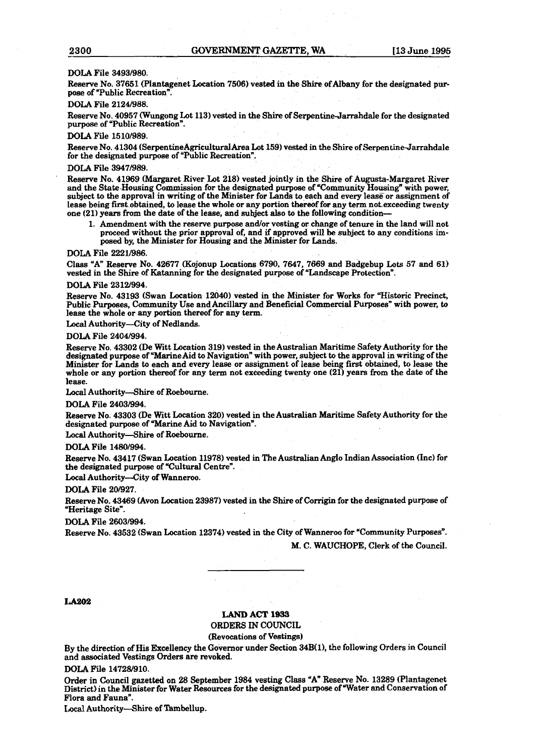#### DOLA File **34931980.**

Reserve No. **37651** (Plantagenet Location **7506)** vested in the **Shire** of Albany for the designated **pur**pose of "Public Recreation".

#### DOLA File **2124/988.**

Reserve No. **40957** CWungong Lot **113)** vested in the **Shire** of Serpentine-Jarrahdale for the designated purpose of "Public Recreation".

#### **DOLA** File **1510/989.**

Reserve No. **41304 (SerpentineAgricultutalArea** Lot **159)** vested in the Shire of Serpentine-Jarrahdale for the designated purpose of "Public Recreation".

#### DOLA File **3947/989**.

Reserve No. **41969** (Margaret River Lot **218)** vested jointly in the Shire of Augusta-Margaret River and the State-Housing Commission for the designated purpose of "Community Housing" with power, subject to the approval in writing of the Minister for Lands to each and every lease or assignment of lease being first obtained, to lease the whole or any portion thereof for any term not exceeding twenty one **(21)** years from the date of the lease, and subject also to the following conditioa-

1. Amendment with the reserve purpose and/or vesting or change of tenure in the land will not proceed without the prior approval of, and if approved will be subject to any conditions imposed by, the Minister for Housing and the Minister for Lands.

#### DOLA File **2221/986.**

Class "Aw Reserve No. **42677** (Kojonup Locations **6790, 7647, 7669** and Badgebup **Lots 57** and **61** ) vested in the Shire of Katanning for the designated purpose of "Landscape Protection".

#### **DOLA** File **231W994.**

Reserve No. **43193** (Swan Location **12040)** vested in the Minister for Works for Wistoric Precinct, Public Purposes, Community Use and Ancillary and Beneficial Commercial Purposes" with power, to lease the whole or any portion thereof for any term.

Local Authority-City of Nedlands.

#### DOLA File **2404/994.**

Reserve No. **43302** (De Witt Location **319)** vested in the Australian Maritime Safety Authority for the designated purpose of "Marine Aid to Navigation" with power, subject to the approval in writing of the Minister for Lands to each and every lease or assignment of lease being first obtained, to **lease** the whole or any portion thereof for any term not exceeding twenty one **(21)** years from the date of the lease.

Local Authority-Shire of Roebourne.

#### DOLA File **24031994.**

Reserve No. **43303** (De Witt Location **320)** vested in the Australian Maritime Safety Authority for the designated purpose of "Marine Aid to Navigation".

#### Local Authority--Shire of Roebourne.

DOLA File **14801994.** 

Reserve No. **43417** (Swan Location **11978)** vested in The Australian Anglo Indian Association (Inc) for the designated purpose of "Cultural Centre".

Local Authority-City of Wanneroo.

#### DOLA File **201927.**

Reserve No. **43469** (Avon Location **23987)** vested in the Shire of Corrigin for the designated purpose of "Heritage Site".

**DOLA** File **26031994.** 

Reserve No. **43532** (Swan Location **12374)** vested in the City of Wanneroo for "Community Purposes". M. C. WAUCHOPE, Clerk of the Council.

#### **LA202**

### **LAM)** ACT 1933

#### ORDERS IN COUNCIL

(Revocations of Vestings)

By the direction of **His** Excellency the Governor under Section **34B(1),** the following Orders in Council and associated Vestings Orders are revoked.

DOLA File **1472W910.** 

Order in Council **gazetted** on **28** September **1984** vesting Class "Aw Reserve No. **13289** (Plantagenet District) in the Minister for Water Resources for the designated purpose of Water and Conservation of Flora and Fauna".

Local Authority-Shire of Tambellup.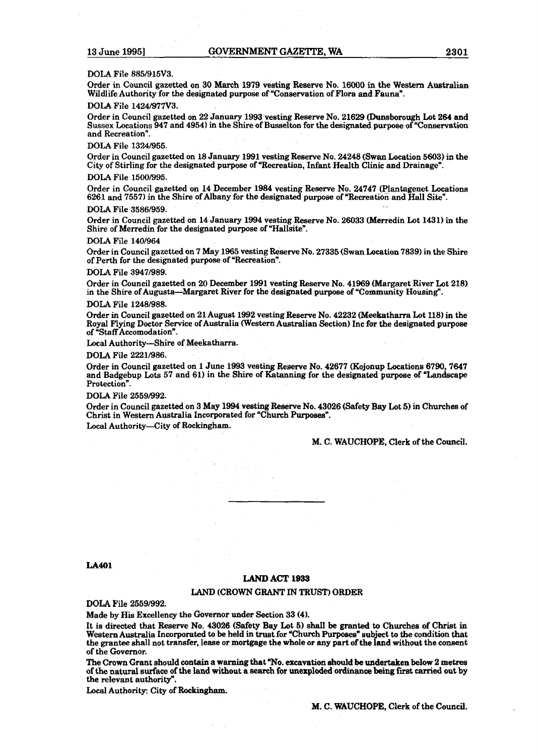#### DOLA File **8851915V3.**

Order in Council gazetted on 30 **March** 1979 vesting **Reserve** No. **16000 in the Western Australian**  Wildlife Authority for the designated purpose of "Conservation of Flora and Fauna".

#### **A File 1424/977**

Order in Council gazetted on 22 January **1993** vesting Reserve No. **21629** (Duasborough Lot **264** and Sussex Locations **947** and **4954)** in the Shire of Busselton for the designated purpose of "Conserwtion and Recreation".

DOLA File **13241955.** 

Order in Council gazetted on **18** January **1991** vesting Reserve No. **242118 (Swan** Location 5603) in the City of Stirling for the designated purpose of "Recreation, Infant Health Clinic and Drainage".

#### DOLA File **15001995.**

Order in Council gazetted on **14** December **1984** vesting Reserve No. **24747** (Pjantagenet Locations **6261** and **7557)** in the Shire of Albany for the designated purpose of "Recreation and **Htall** Site".

#### DOLA File **3586/959**

Order in Council gazetted on 14 January **1994** vesting Reserve No. **26033** (Merredin Lot 1431) **in** the Shire of Merredin for the designated purpose of "Hallsite".

#### DOLA File **l401964**

Order in Council gazetted on **7** May **1965** vesting Reserve No. **27335** (Swan Location **7839)** in the **Shire**  of Perth for the designated purpose of "Recreation".

#### **DOLA** File **39471989.**

Order in Council gazetted on 20 December **1991** vesting Reserve No. **41969** (Margaret River Lot **218)**  in the Shire of Augusta-Margaret River for the designated purpose of "Community Housing".

#### DOLA File **1248/988.**

Order in Council gazetted on 21August **1992** vesting Reserve No. **42232** (Meekatharra Lot **ll8)** in the Royal Flying Doctor Service ofAustralia (Western Australian Section) Inc for the designated purpose of "Staff Accomodation".

Local Authority-Shire of Meekatharra.

DOLA File **22211986.** 

Order in Council gazetted on **1** June 1993 vesting Reserve No. **42677** (Kojonup Locations **6790,7647**  and Badgebup **Lots 57** and **61)** in the Shire of Katanning for the designated purpose of **"Landscape**  Protection".

#### **DOLA** File **25591992.**

Order in Council gazetted on **3** May 1994 vesting Reserve No. **43026** (Safety **Bay** Lot **5) in** Churches of Christ in Western Australia Incorporated for "Church Purposes". Local Authority-City of Rockingham.

M. C. WAUCHOPE, Clerk of the Council.

#### **LA401**

#### **LAND ACT 1939**

#### **LAND** (CROWN **GRANT** IN **TRUST)** ORDER

**DOLA** File **25591992.** 

Made by His Excellency the Governor under Section **33 (4).** 

It is directed that Reserve No. **43026** (Safety **Bay** Lot **5)** shall be granted to Churches of **Christ** in Western Australia Incorporated to be held in trust for "Church Purposes" subject to the condition that the **grantee** shall not transfer, leaae or mortgage the whole or **any part** of the **{and** without the urnsent of the Governor.

The **Crown** Grant should cantain **a warning** that **"No.** excavation should be **undertaken** below 2 **metres**  of the natural **surface** of **the** land without a search for **unexploded ordinance being fvst carried** out by the relevant authority".

Local Authority: City of Rockingham.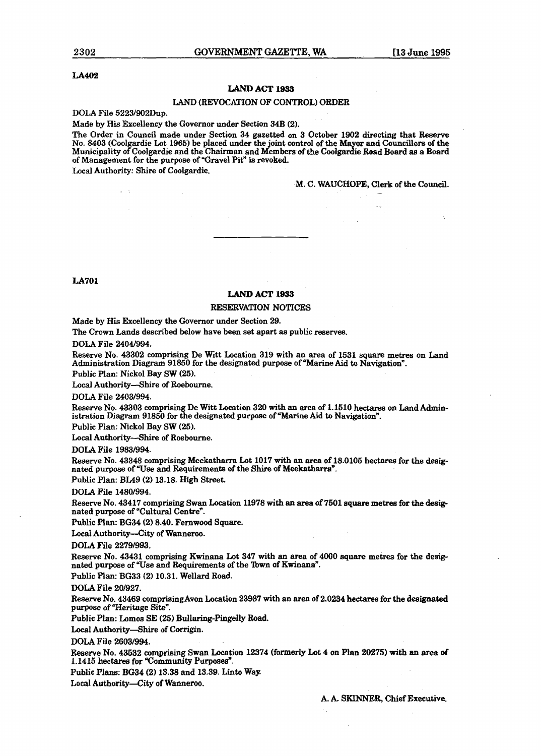#### **LA402**

#### **LAND ACT l933**

#### LAND (REVOCATION OF CONTROL) ORDER

**DOLA** File **5223/902Dup.** 

Made by His Excellency the Governor under Section **34B (2).** 

The Order in Council made under Section **34** gazetted on **3** October **1902** directing that **Reserve**  No. **8403** (Coolgardie Lot **1965)** be placed under the joint control of the **Ma** or **and** Councillors of the Municipality of Coolgardie and the Chairman and Members of the Coolgardie Road Board as a Board<br>of Management for the purpose of "Gravel Pit" is revoked.

Local Authority: Shire of Coolgardie.

M. C. **WAUCHOPE,** Clerk of the Council.

**LA701** 

#### **LAND ACT 1933**

#### RESERVATION NOTICES

Made by His Excellency the Governor under Section **29.** 

The Crown Lands described below have been set apart as public reserves.

DOLA File **2404/994.** 

**Reserve** No. **43302** comprising De Witt Location **319** with an area of **1531** square metres on Land Administration Diagram **91850** for the designated purpose of 'Marine Aid to Navigation".

Public Plan: Nickol Bay SW **(25).** 

Local Authority--Shire of Roebourne.

DOLA File **24031994.** 

Reserve No. **43303** comprising De Witt Location **320** with an area of **1.1510** hedares on Land Administration Diagram 91850 for the designated purpose of "Marine Aid to Navigation".

Public Plan: Nickol Bay SW **(25).** 

Local Authority-Shire of Roebourne.

**DOLA** File **1983994.** 

Reserve No. 43348 comprising Meekatharra Lot 1017 with an area of 18.0105 hectares for the desig**nated** purpose of "Use and Requirements of the **Shire** of Meekatharra".

Public Plan: **BL49 (2) 13.18.** High Street.

**DOLA** File **1480/994.** 

Reserve No. **43417** comprising Swan Location **11978** with an area of **7601** square metres for **the** desig**nated** purpose of "Cultural Centre\*.

Public Plan: **BG34 (2) 8.40.** Fernwood Square.

Local Authority-City of Wanneroo.

**DOLA** File **22791993.** 

Reserve No. **43431** comprising Kwinana Lot **347** with an area of **4000** square metres **for the desig**nated purpose of "Use and Requirements of the Town of Kwinana".

Public Plan: BG33 **(2) 10.31.** Wellard Road.

**DOLA** File **201927.** 

Reserve No. 43469 comprising Avon Location 23987 with an area of 2.0234 hectares for the designated purpose of "Heritage Site".

Public Plan: Lomos SE (25) Bullaring-Pingelly Road.

Local Authority-Shire of Corrigin.

**DOLA** File **26031994.** 

**Reserve** No. **43532** comprising Swan Location **12374** (formerly Lot **4** on **Plan 20275)** with **an area of 1.1415** hectares **for** "Community **Purposes".** 

Public **Plans: BG34 (2) 13.38** and **13.39. Linto** Way

Local Authority-City of Wanneroo.

A. A. **SKINNER,** Chief **Executive.**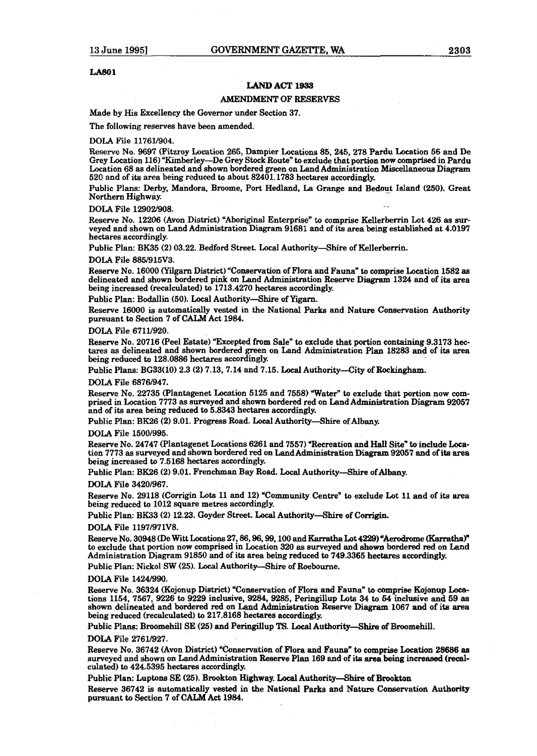#### **LAB01**

#### **LAND** ACT **1933**

#### **AMENDMENT** OF RESERVES

Made by His Excellency the Governor under Section 37.

**The** following reserves have been amended.

#### DOLA File 11761/904.

Reserve No. 9697 (Fitzroy Location 265, Dampier Locations 85,245,278 Pardu Location 56 and De Grey Location **116)** "Kimberley-De Grey **Stock** Route" to exclude that portion **now** comprised in **fardu**  Location 68 **as** delineated and shown bordered green on Land Administration Miscellaneous Diagram 520 and of its area being reduced **to** about 82401.1783 hectares accordingly.

Public Plans: Derby, Mandora, Broome, Port Hedland, La Grange and Bedout Island (250). Great Northern Highway.

#### DOLA File 12902/908.

Reserve No. 12206 (Avon District) "Aboriginal Enterprise" to comprise Kellerberrin Lot 426 as surveyed and shown on Land Administration Diagram 91681 and of its **area being** established at 4.0197 hectares accordingly.

Public Plan: BK35 (2) 03.22. Bedford Street. Local Authority-Shire of Kellerberrin.

#### DOLA File 8851915V3.

Reserve No. 16000 (Yilgarn District) "Conservation of Flora and Fauna" to comprise Location 1582 as delineated and shown bordered pink on Land Administration Reserve Diagram 1324 and of its area being increased (recalculated) to 1713.4270 hectares accordingly.

Public Plan: Bodallin (50). Local Authority-Shire of Yigarn.

Reserve 16000 is automatically vested in the National **Parks** and Nature Conservation Authority pursuant to Section 7 of CALM Act 1984.

#### DOLA File 67111920.

Reserve No. 20716 (Peel Estate) "Excepted from Sale" to exclude that portion containing 9.3173 hectares **as** delineated and shown bordered green on Land Administration Plan 18283 and of its area being reduced to 128.0886 hectares accordingly.

Public Plans: BG33(10) 2.3 (2) 7.13,7.14 and 7.15. Local Authority-City of **Rockingham.** 

#### DOLA File 68761947.

Reserve No. 22735 (Plantagenet Location 5125 and 7558) Water" to exclude that portion now **com**prised in Location 7773 **as** surveyed and shown bordered red on Land Administration Diagram 92057 and of its area being reduced to 5.8343 hectares accordingly.

Public Plan: BK26 (2) 9.01. Progress Road. Local Authority—Shire of Albany.

#### DOLA File 15001995.

Reserve No. 24747 (Plantagenet Locations 6261 and 7557) "Recreation and Hall Site" to include Location 7773 as surveyed and shown bordered red on Land Administration Diagram 92057 and of its area being increased to 7.5168 hectares accordingly.

Public Plan: BK26 (2) 9.01. Frenchman Bay Road. Local Authority-Shire of Albany.

#### **DOLA** File 3420/967.

Reserve No. 29118 (Corrigin Lots 11 and 12) "Community Centre" to exclude Lot 11 and of its area being reduced to 1012 **square** metres accordingly.

Public Plan: BK33 (2) 12.23. Goyder Street. Local Authority-Shire of Corrigin.

#### DOLA File 1197/971V8.

Reserve No. 30948 (De Witt Locations 27, 86, 96, 99, 100 and Karratha Lot 4229) "Aerodrome (Karratha)" to exclude that portion now comprised in Location 320 **as** surveyed **and** shown bordered red on Land Administration Diagram 91850 and of its area being reduced to 749.3365 hectares accordingly.

Public **Plan:** Nick01 SW (25). **Local** Authority-Shire of Roebourne.

#### DOLA File 1424/990.

Reserve No. 36324 (Kojonup District) "Conservation of Flora and Fauna" to comprise Kojonup Locations 1154, 7567, 9226 **to** 9229 inclusive, 9284, 9285, Peringillup **Lots** 34 **to** 64 inclusive and 59 **as**  shown delineated and bordered red on Land Administration Reserve **Diagram** 1067 and of its area being reduced (recalculated) to 217.8168 hectares accordingly.

Public Plans: Broomehill SE (25) and Peringillup **TS.** Local Authority-Shire of Broomehill.

#### **DOLA** File 2761/927.

Reserve No. 36742 (Avon District) "Consemation of Flora and Fauna\* to comprise Location **28686 aa**  surveyed and shown on Land Administration Reserve Plan 169 and of its area being increased (recalculated) to 424.5395 hectares accordingly.

Public Plan: Luptons SE (25). Brookton **Highway. Local Authority—Shire of Brookton** Reserve 36742 is automatically vested in the National Parks and Nature Conservation Authority pursuant to Section 7 of **CALM Act** 1984.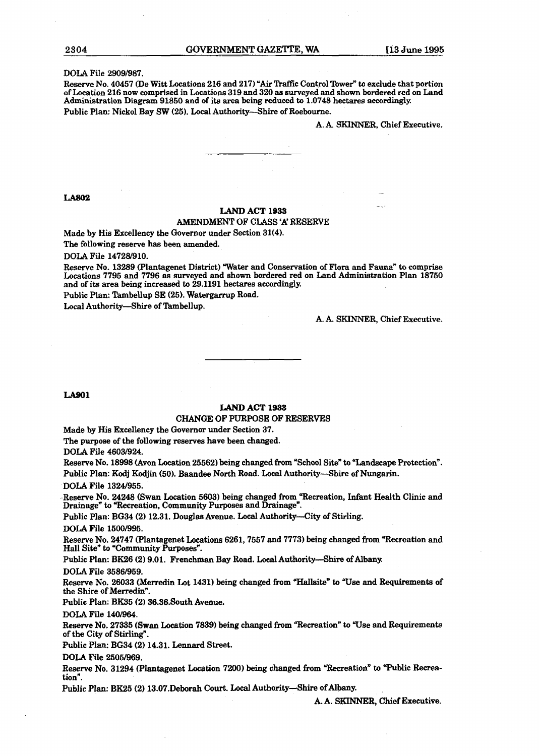**DOLA** File 29091987.

Reserve No. 40457 (De Witt Locations 216 and 217) "Air Traffic Control Tower" to exclude that portion of Location 216 now comprised in Locations 319 and 320 as surveyed and shown bordered red on Land Administration Diagram 91850 and of its area being reduced **to** 1.0748 hectares accordingly. Public Plan: Nick01 Bay SW **(25). Local** Authority-Shire of Roebourne.

A. A. **SKWNER,** Chief Executive.

**LA802** 

#### **LAND ACT 1933**

#### **AMENDMENT** OF CLASS 'A' RESERVE

Made by His Excellency the Governor under Section 31(4).

**The** following reserve has been amended.

DOLA File 14728/910.

Reserve No. 13289 (Plantagenet District) Water and Conservation of Flora and Fauna" **to** comprise Locations 7795 and 7796 as surveyed and shown bordered red on Land Administration Plan 18750 and of its area being increased to 29.1191 hectares accordingly Public Plan: Tambellup SE (25). Watergarrup Road.

Local Authority-Shire of Tambellup.

A. A. **SKINNER,** Chief Executive.

**LA901** 

#### **LAND ACT 1933**

#### CHANGE OF PURPOSE OF RESERVES

Made by His Excellency the Governor under Section 37.

The purpose of the following reserves have been changed.

DOLA File 46031924

Reserve No. 18998 (Avon Location 25562) being changed from "School Site" **to** "Landscape Protection". Public Plan: Kodj Kodjin (50). Baandee North Road. Local Authority-Shire of Nungarin.

DOLA File 1324/955.

Reserve No. 24248 (Swan Location 5603) being changed from "Recreation, Infant Health Clinic and Drainage" to "Recreation, Community Purposes and Drainage".

Public Plan: BG34 (2) 12.31. Douglas Avenue. **Local** Authority-City of Stirling.

**DOLA** File 15001995.

Reserve No. 24747 (Plantagenet Locations 6261,7557 and 7773) being changed **from** "Recreation and Hall Site" to "Community Purposes".

Public Plan: **BK26** (2) 9.01. Frenchman Bay Road. Local Authority-Shire of **Albany,** 

DOLA File 35861959.

Reserve No. 26033 (Merredin Lot 1431) being changed **from "Hallsite"** to **Wse** and Requirements of the Shire of Merredin".

Public Plan: BB5 **(2)** 36.36.South Avenue.

**DOLA** File 140/964.

**Reserve** No. 27335 (Swan Location 7839) **being** changed from "Recreation" to "Use and Requirements of the City of Stirling".

Public Plan: BG34 **(2)** 14.31. **Lennard** Street.

DOLA File 2505/969.

Reserve No. 31294 (Plantagenet Location 7200) being changed from "Recreation" to "Public Recreation".

Public Plan: BK25 (2) 13.07.Deborah Court. Local Authority-Shire of Albany.

A. A. SRINNER, Chief Executive.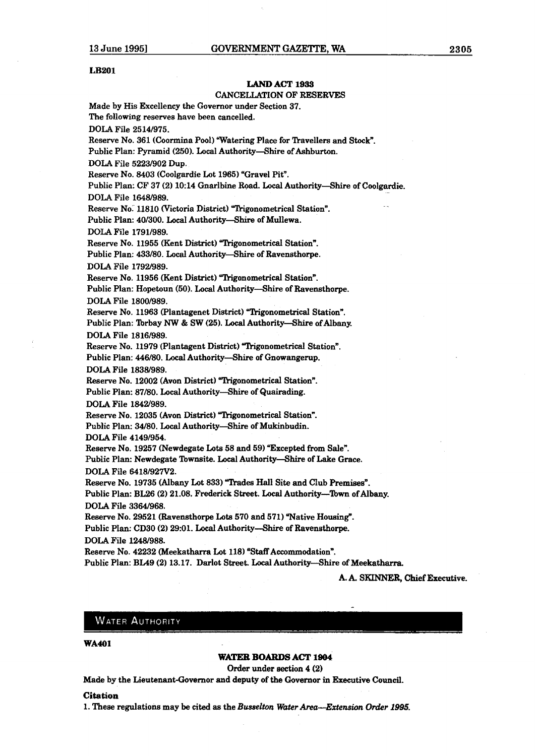#### **LB201**

#### **LAND** ACT **1933**

#### CANCELLATION OF RESERVES

Made by His Excellency the Governor under Section 37. **The** following reserves have been cancelled.

DOLA File 2514/975.

Reserve No. 361 (Coormina Pool) "Watering Place for Travellers and Stock".

Public Plan: Pyramid (250). Local Authority-Shire of Ashburton.

**DOLA** File 5223/902 Dup.

Reserve No. 8403 (Coolgardie Lot 1965) "Gravel Pit".

Public Plan: CF 37 **(2)** 10:14 Gnarlbine Road. Local Authority-Shire of Coolgardie.

DOLA File 16481989.

Reserve No. 11810 (Victoria District) "Trigonometrical Station".

Public Plan: 40/300. Local Authority-Shire of Mullewa.

DOLA File 1791/989.

Reserve No. 11955 (Kent District) "Trigonometrical Station". Public Plan: 433/80. Local Authority-Shire of Ravensthorpe.

DOLA File 1792,989.

Reserve No. 11956 (Kent District) "Trigonometrical Station".

Public Plan: Hopetoun (50). Local Authority-Shire of Ravensthorpe. DOLA File 1800/989.

Reserve No. 11963 (Plantagenet District) "Trigonometrical Station". Public Plan: Torbay NW & SW (25). Local Authority-Shire of Albany. DOLA File 1816/989.

Reserve No. 11979 (Plantagent District) "Trigonometrical Station".

Public Plan: 446/80. Local Authority-Shire of Gnowangerup.

DOLA File 1838/989.

Reserve No. 12002 (Avon District) "Trigonometrical Station".

Public Plan: 87/80. Local Authority-Shire of Quairading.

DOLA File 1842/989.

Reserve No. 12035 (Avon District) "Trigonometrical Station".

Public Plan: 34/80. Local Authority-Shire of Mukinbudin.

DOLA File 4149/954.

Reserve No. 19257 (Newdegate Lots 58 and 59) "Excepted from Sale".

Public Plan: Newdegate Townsite. Local Authority-Shire of Lake Grace. DOLA File 6418/927V2.

Reserve No. 19735 (Albany Lot 833) "Trades Hall Site and Club Premises". Public Plan: BL26 (2) 21.08. Frederick Street. Local Authority-Town of Albany.

DOLA File 3364/968.

Reserve No. 29521 (Ravensthorpe Lots 570 and 571) "Native Housing". Public **PIan:** CD30 (2) 29:Ol. Local Authority--Shire of Ravensthorpe. **DOLA** File 12481988.

Reserve No. 42232 (Meekatharra Lot 118) "Staff Accommodation".

Public Plan: BL49 (2) 13.17. Darlot Street. Local Authority-Shire of Meekatharra.

A. A. SKINNER, Chief Executive.

#### **WATER AUTHORITY**

**WAMl** 

#### **WATER BOARDS ACT 1804**

Order under section 4 (2)

Made by the Lieutenant-Governor and deputy of the Govexnor in Executive Council.

#### **Citation**

1. These regulations may be cited as the *Busselton Water Area-Extension Order 1995*.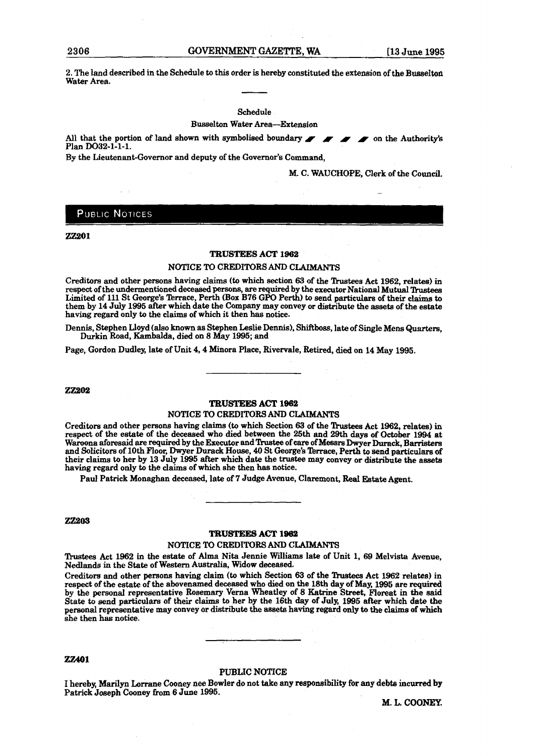2. The land described in the Schedule to this order is hereby constituted the extension of the Busselton Water Area.

#### Schedule

Busselton Water Area-Extension

All that the portion of land shown with symbolised boundary **I I is all that Authority's Plan DO32-1-1-1.** 

By the Lieutenant-Governor and deputy of the Governor's Command,

M. C. WAUCHOPE, Clerk of the Council.

#### PUBLIC NOTICES

#### 77901

#### **TRUSTEES ACT** 1962

#### NOTICE TO CREDITORS AND **CLAIMANTS**

Creditors and other persons having claims (to which section 63 of the Trustees Act 1962, relates) in respect of the undermentioned deceased **persons,** are required by the executor National **MutuaI** *!hastees*  Limited of **111** St George's Terrace, Perth (Box B76 GPO Perth) to send particulars of their claims to them by 14 July 1995 after which date the Company may convey or distribute the **assets** of **the** estate having regard only to the claims of which it then **has** notice.

Dennis, Stephen Lloyd (also known **as** Stephen Leslie Dennis), Shiftboss, late of Single Mens Quarters, Durkin Road, Kambalda, died on 8 May **1995;** and

Page, Gordon Dudley, late of Unit 4,4 Minora Place, Rivervale, Retired, died on 14 May 1995.

**22202** 

#### **TRUSTEES ACT 1962**

#### NOTICE TO CREDITORS AND **CLAIMANTS**

Creditors and other persons having claims (to which Section 63 of the Trustees Act 1962, relates) in respect of the estate of the deceased who died between the 25th and 29th days of **October** 1994 at Waroona aforesaid are required by the Executor and 'Rustee of care of **Messrs** Dwyer Durack, Barristers **and** Solicitors of 10th Floor, Dwyer Durack House, 40 St George's lbrrace, Perth to send particulars of their claims to her by 13 July **1995** after which date the trustee may convey or distribute the **assets**  having regard only to the claims of which she then **has** notice.

Paul Patrick Monaghan deceased, late of 7 Judge Avenue, Claremont, **Real Estate** Agent.

#### $Z\mathbb{Z}203$

#### **TRUSTEES ACT 1962**

#### **NOTICE TO** CREDITORS **AM) CIdlMAWS**

Trustees Act 1962 in the estate of Alma Nita Jennie Williams late of Unit 1, 69 Melvista Avenue, Nedlands in the State of **Western** Awtralia, Widow **deceased.** 

Creditors and other persons having claim (to which Section 63 of the Trustees Act 1962 relates) in respect of the estate of the abovenamed deceased who died on the **18th** day of **May,** 1995 are required by the personal representative Rosemary Verna Wheatley of 8 Katrine Street, Floreat in **the** said State to send particulars of their claims to her by the **16th** day of July, **1995** after which **date the**  pemnal representative may convey or distribute the **assets** having regard only **ta** the claims of **which**  she then has notice.

#### **ZZ401**

#### **PUBLIC** NOTICE

I hereby, Marilyn Lorrane Cooney nee Bowler do not take any responsibility for any debts incurred by Patrick Joseph Cooney from 6 June **1995.** 

**M. L. COONEY.**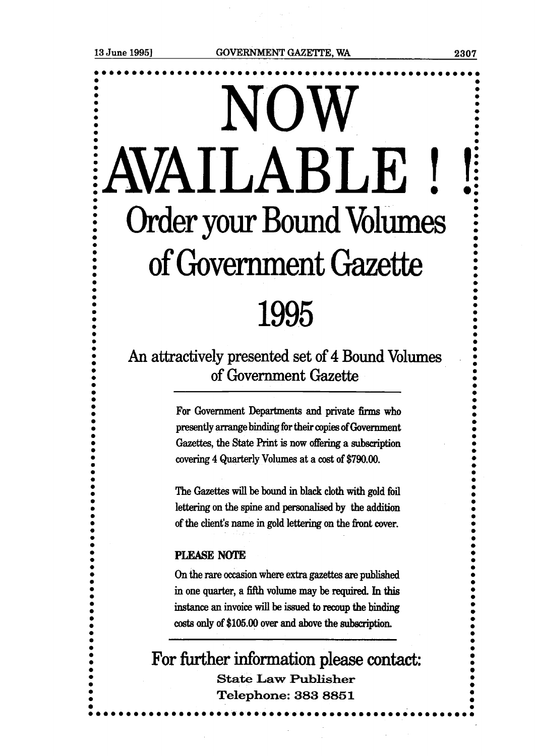## NOW **<sup>I</sup>**'AVAILABLE ! !f **0**   $\vdots$  Order your Bound Volumes  $\vdots$ **0 0 000 Conservator Science Conservance Conservance Conservance Conservance Conservance Conservance Conservance Conservance Conservance Conservance Conservance Conservance Conservance Conservance Conservance Conservance Conse 0**  of Government Gazette 1995

**An** attractively presented set of 4 Bound Volumes of Government Gazette

> For Government Departments and private firms who presently arrange binding for their copies of **Government Gazettes,** the **State** Print is now offering a subscription covering 4 Quarterly Volumes at a cost of \$790.00.

> The **Gazettes** will **be** bound in black cloth with **gold** foil lettering on the spine and **personalised** by the **addition**  of the client's name in gold lettering on the front cover.

#### **PLEASE NOTE**

**On** the **m** occasion where extra **gazettes are** published in one quarter, a fifth volume may be required. In this **instance an** invoice will be **issued to recoup the binding**  costs only of \$105.00 over and above the subscription.

**For** further information **please** contact: **State Law Publisher** Telephone: 383 8851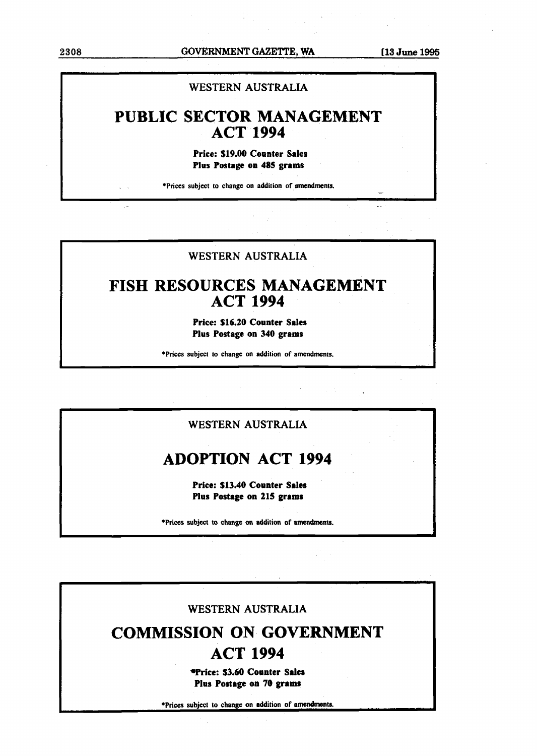**<sup>2308</sup>GOVERNMENT GAZETTE, WA [l3 June 1995** 

#### **WESTERN AUSTRALIA**

### **PUBLIC SECTOR MANAGEMENT ACT 1994**

**Price: \$19.00 Counter Sates Plus Postage on 485 grams** 

\*Prices subject to change on addition of amendments.

#### **WESTERN AUSTRALIA**

### **FISH RESOURCES MANAGEMENT ACT 1994**

**Price: \$16.20 Counter Sales Plus Postage on 340 grams** 

**I \*Prices subject to change on addition of amendments.** 

#### **WESTERN AUSTRALIA**

### **ADOPTION ACT 1994**

**Price: \$13.40 Counter Sales Plus Postage on 215 grams** 

**+Prices subject to change on addition of amendments.** 

### **WESTERN AUSTRALIA**

## **COMMISSION ON GOVERNMENT ACT 1994**

**Trice: \$3.60 Counter Sales Plus Postage on 70 grams** 

**\*Prices subject to change on addition of amendments.**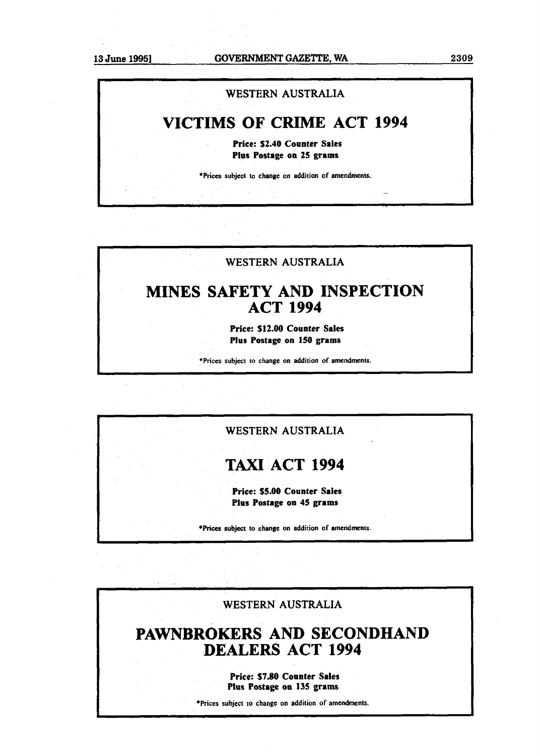### **WESTERN AUSTRALIA**

### **VICTIMS OF CRIME ACT 1994**

**Price: \$2.40 Counter Sales Plus Postage on 25 grams** 

**\*Prices subject to change on addition of amendments.** 

### **WESTERN AUSTRALIA**

### **MINES SAFETY AND INSPECTION ACT 1994**

**Price: \$12.00 Counter Sales Plus Postage on 150 grams** 

**\*Prices subject to change on addition of amendments.** 

#### **WESTERN AUSTRALIA**

### **TAXI ACT 1994**

**Price: \$5.00 Counter Sales Plus Postage on 45 grams** 

**\*Prices subject to change on addition of amendments.** 

**WESTERN AUSTRALIA** 

### **PAWNBROKERS AND SECONDHAND DEALERS ACT 1994**

**Price: \$7.80 Counter Sales Plus Postage on 135 grams** 

**\*Prices subject to change on addition of amendments.**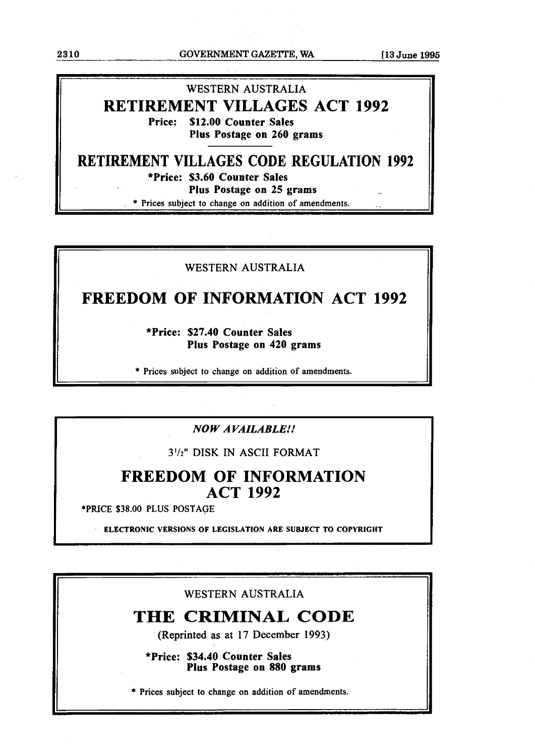**23 10 GOVERNMENT GAZETTE, WA [l3 June 1995** 

**7** 

### WESTERN AUSTRALIA **RETIREMENT VILLAGES ACT 1992 Price: \$12.00 Counter Sales**

**Plus Postage on 260 grams** 

**RETIREMENT VILLAGES CODE REGULATION 1992 \*Price: \$3.60 Counter Sales Plus Postage on 25 grams** 

\* Prices subject to change on addition of amendments.

#### WESTERN AUSTRALIA

### **FREEDOM OF INFORMATION ACT 1992**

**\*Price: \$27.40 Counter Sales Plus Postage on 420 grams** 

\* **Prices subject to change on addition of amendments.** 

#### *NO W A VAZLABLE!!*

**3'/z1'** DISK IN ASCII FORMAT

### **FREEDOM OF INFORMATION ACT 1992**

**+PRICE \$38.00 PLUS POSTAGE** 

**ELECTRONIC VERSIONS OF LEGISLATION ARE SUBJECT TO COPYRIGHT** 

WESTERN AUSTRALIA

### **THE CRIMINAL CODE**

**(Reprinted as at 1** 7 **December 1993)** 

**\*Price: \$34.40 Counter Sales Plus Postage on 880 grams** 

\* Prices subject to change on addition of amendments.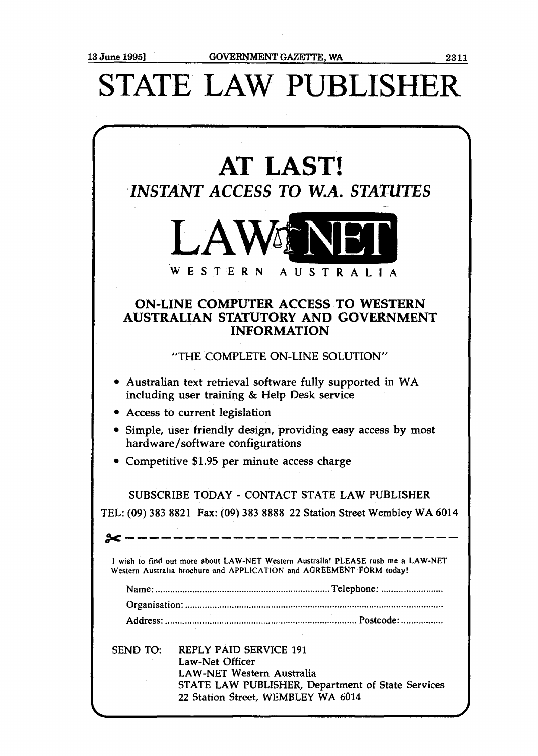$\sim 10^7$ 

# STATE **LAW** PUBLISHER

|          | <b>AT LAST!</b><br><b>INSTANT ACCESS TO W.A. STATUTES</b>                                                                                                                       |
|----------|---------------------------------------------------------------------------------------------------------------------------------------------------------------------------------|
|          | <b>LAWENER</b><br>WESTERN AUSTRALIA                                                                                                                                             |
|          | <b>ON-LINE COMPUTER ACCESS TO WESTERN</b><br>AUSTRALIAN STATUTORY AND GOVERNMENT<br><b>INFORMATION</b>                                                                          |
|          | "THE COMPLETE ON-LINE SOLUTION"                                                                                                                                                 |
|          | • Australian text retrieval software fully supported in WA<br>including user training & Help Desk service                                                                       |
|          | • Access to current legislation                                                                                                                                                 |
|          | • Simple, user friendly design, providing easy access by most<br>hardware/software configurations                                                                               |
|          | Competitive \$1.95 per minute access charge                                                                                                                                     |
|          | SUBSCRIBE TODAY - CONTACT STATE LAW PUBLISHER                                                                                                                                   |
|          | TEL: (09) 383 8821 Fax: (09) 383 8888 22 Station Street Wembley WA 6014                                                                                                         |
|          |                                                                                                                                                                                 |
|          | I wish to find out more about LAW-NET Western Australia! PLEASE rush me a LAW-NET<br>Western Australia brochure and APPLICATION and AGREEMENT FORM today!                       |
|          |                                                                                                                                                                                 |
|          |                                                                                                                                                                                 |
|          |                                                                                                                                                                                 |
| SEND TO: | <b>REPLY PAID SERVICE 191</b><br>Law-Net Officer<br><b>LAW-NET Western Australia</b><br>STATE LAW PUBLISHER, Department of State Services<br>22 Station Street, WEMBLEY WA 6014 |